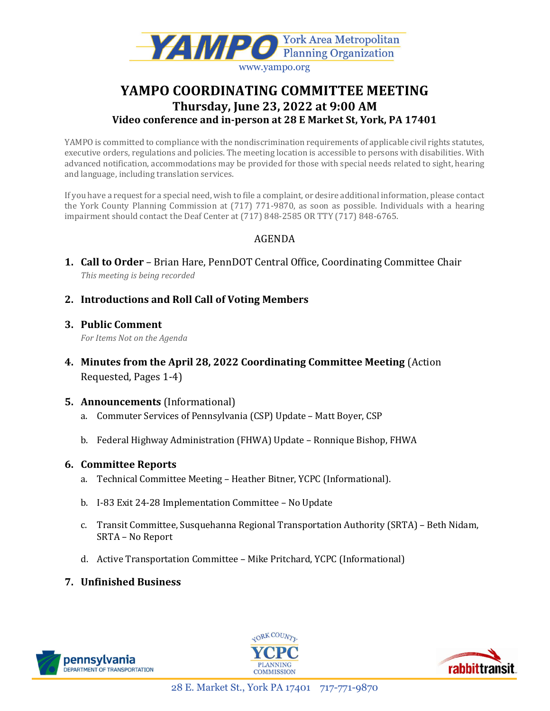

# YAMPO COORDINATING COMMITTEE MEETING Thursday, June 23, 2022 at 9:00 AM Video conference and in-person at 28 E Market St, York, PA 17401

YAMPO is committed to compliance with the nondiscrimination requirements of applicable civil rights statutes, executive orders, regulations and policies. The meeting location is accessible to persons with disabilities. With advanced notification, accommodations may be provided for those with special needs related to sight, hearing and language, including translation services.

If you have a request for a special need, wish to file a complaint, or desire additional information, please contact the York County Planning Commission at (717) 771-9870, as soon as possible. Individuals with a hearing impairment should contact the Deaf Center at (717) 848-2585 OR TTY (717) 848-6765.

# AGENDA

- 1. Call to Order Brian Hare, PennDOT Central Office, Coordinating Committee Chair This meeting is being recorded
- 2. Introductions and Roll Call of Voting Members
- 3. Public Comment For Items Not on the Agenda
- 4. Minutes from the April 28, 2022 Coordinating Committee Meeting (Action Requested, Pages 1-4)
- 5. Announcements (Informational)
	- a. Commuter Services of Pennsylvania (CSP) Update Matt Boyer, CSP
	- b. Federal Highway Administration (FHWA) Update Ronnique Bishop, FHWA

# 6. Committee Reports

- a. Technical Committee Meeting Heather Bitner, YCPC (Informational).
- b. I-83 Exit 24-28 Implementation Committee No Update
- c. Transit Committee, Susquehanna Regional Transportation Authority (SRTA) Beth Nidam, SRTA – No Report
- d. Active Transportation Committee Mike Pritchard, YCPC (Informational)
- 7. Unfinished Business